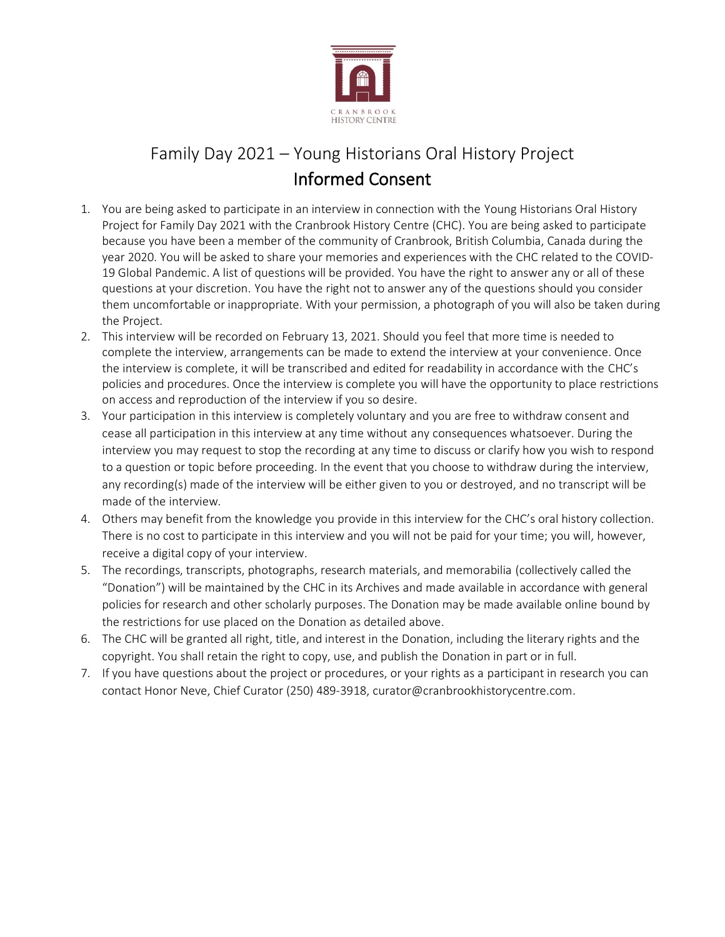

# Family Day 2021 – Young Historians Oral History Project Informed Consent

- 1. You are being asked to participate in an interview in connection with the Young Historians Oral History Project for Family Day 2021 with the Cranbrook History Centre (CHC). You are being asked to participate because you have been a member of the community of Cranbrook, British Columbia, Canada during the year 2020. You will be asked to share your memories and experiences with the CHC related to the COVID-19 Global Pandemic. A list of questions will be provided. You have the right to answer any or all of these questions at your discretion. You have the right not to answer any of the questions should you consider them uncomfortable or inappropriate. With your permission, a photograph of you will also be taken during the Project.
- 2. This interview will be recorded on February 13, 2021. Should you feel that more time is needed to complete the interview, arrangements can be made to extend the interview at your convenience. Once the interview is complete, it will be transcribed and edited for readability in accordance with the CHC's policies and procedures. Once the interview is complete you will have the opportunity to place restrictions on access and reproduction of the interview if you so desire.
- 3. Your participation in this interview is completely voluntary and you are free to withdraw consent and cease all participation in this interview at any time without any consequences whatsoever. During the interview you may request to stop the recording at any time to discuss or clarify how you wish to respond to a question or topic before proceeding. In the event that you choose to withdraw during the interview, any recording(s) made of the interview will be either given to you or destroyed, and no transcript will be made of the interview.
- 4. Others may benefit from the knowledge you provide in this interview for the CHC's oral history collection. There is no cost to participate in this interview and you will not be paid for your time; you will, however, receive a digital copy of your interview.
- 5. The recordings, transcripts, photographs, research materials, and memorabilia (collectively called the "Donation") will be maintained by the CHC in its Archives and made available in accordance with general policies for research and other scholarly purposes. The Donation may be made available online bound by the restrictions for use placed on the Donation as detailed above.
- 6. The CHC will be granted all right, title, and interest in the Donation, including the literary rights and the copyright. You shall retain the right to copy, use, and publish the Donation in part or in full.
- 7. If you have questions about the project or procedures, or your rights as a participant in research you can contact Honor Neve, Chief Curator (250) 489-3918, curator@cranbrookhistorycentre.com.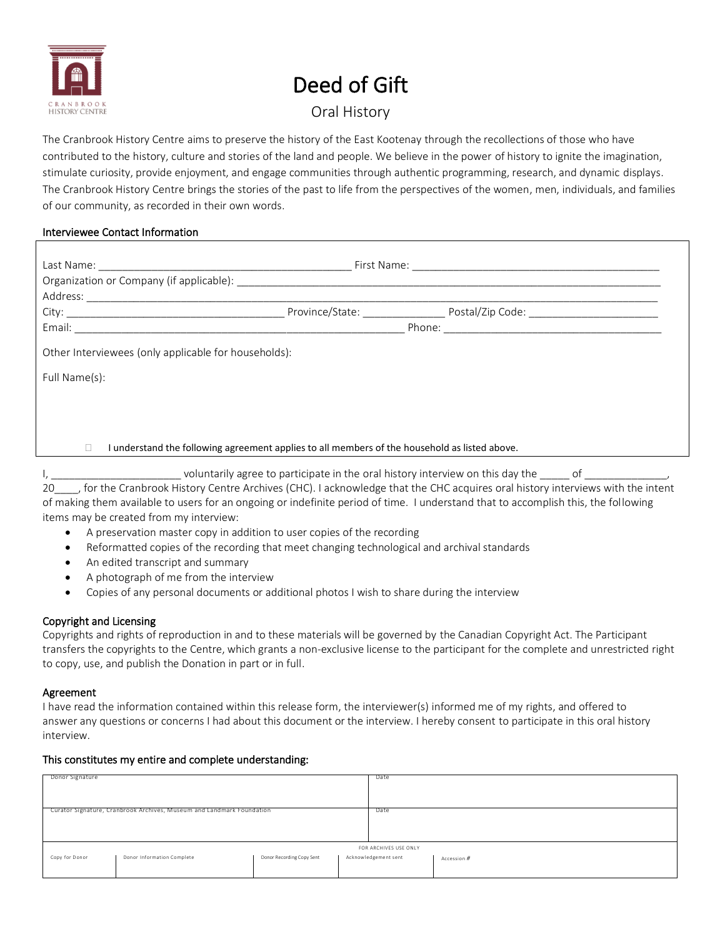

# Deed of Gift

## Oral History

The Cranbrook History Centre aims to preserve the history of the East Kootenay through the recollections of those who have contributed to the history, culture and stories of the land and people. We believe in the power of history to ignite the imagination, stimulate curiosity, provide enjoyment, and engage communities through authentic programming, research, and dynamic displays. The Cranbrook History Centre brings the stories of the past to life from the perspectives of the women, men, individuals, and families of our community, as recorded in their own words.

#### Interviewee Contact Information

| Other Interviewees (only applicable for households):                                          |                                                                                |    |  |  |  |  |  |  |  |
|-----------------------------------------------------------------------------------------------|--------------------------------------------------------------------------------|----|--|--|--|--|--|--|--|
| Full Name(s):                                                                                 |                                                                                |    |  |  |  |  |  |  |  |
|                                                                                               |                                                                                |    |  |  |  |  |  |  |  |
|                                                                                               |                                                                                |    |  |  |  |  |  |  |  |
| I understand the following agreement applies to all members of the household as listed above. |                                                                                |    |  |  |  |  |  |  |  |
|                                                                                               | voluntarily agree to participate in the oral history interview on this day the | of |  |  |  |  |  |  |  |

| $\mathbf v$ $\mathbf v$ $\mathbf w$ $\mathbf w$ $\mathbf w$ $\mathbf w$ $\mathbf w$ $\mathbf w$ $\mathbf w$ $\mathbf w$ $\mathbf w$ $\mathbf w$ $\mathbf w$ $\mathbf w$ $\mathbf w$ $\mathbf w$ $\mathbf w$ $\mathbf w$ $\mathbf w$ $\mathbf w$ $\mathbf w$ $\mathbf w$ $\mathbf w$ $\mathbf w$ $\mathbf w$ $\mathbf w$ $\mathbf w$ $\mathbf w$ $\mathbf w$ $\mathbf w$ $\mathbf w$ $\mathbf$ |
|-----------------------------------------------------------------------------------------------------------------------------------------------------------------------------------------------------------------------------------------------------------------------------------------------------------------------------------------------------------------------------------------------|
| 20 for the Cranbrook History Centre Archives (CHC). I acknowledge that the CHC acquires oral history interviews with the intent                                                                                                                                                                                                                                                               |
| of making them available to users for an ongoing or indefinite period of time. I understand that to accomplish this, the following                                                                                                                                                                                                                                                            |
| items may be created from my interview:                                                                                                                                                                                                                                                                                                                                                       |

- A preservation master copy in addition to user copies of the recording
- Reformatted copies of the recording that meet changing technological and archival standards
- An edited transcript and summary
- A photograph of me from the interview
- Copies of any personal documents or additional photos I wish to share during the interview

### Copyright and Licensing

Copyrights and rights of reproduction in and to these materials will be governed by the Canadian Copyright Act. The Participant transfers the copyrights to the Centre, which grants a non-exclusive license to the participant for the complete and unrestricted right to copy, use, and publish the Donation in part or in full.

#### Agreement

I have read the information contained within this release form, the interviewer(s) informed me of my rights, and offered to answer any questions or concerns I had about this document or the interview. I hereby consent to participate in this oral history interview.

#### This constitutes my entire and complete understanding:

| Donor Signature                                                       |                            | Date                      |  |                      |             |  |  |  |  |
|-----------------------------------------------------------------------|----------------------------|---------------------------|--|----------------------|-------------|--|--|--|--|
|                                                                       |                            |                           |  |                      |             |  |  |  |  |
|                                                                       |                            |                           |  |                      |             |  |  |  |  |
|                                                                       |                            |                           |  |                      |             |  |  |  |  |
|                                                                       |                            |                           |  |                      |             |  |  |  |  |
|                                                                       |                            |                           |  |                      |             |  |  |  |  |
| Curator Signature, Cranbrook Archives, Museum and Landmark Foundation |                            | Date                      |  |                      |             |  |  |  |  |
|                                                                       |                            |                           |  |                      |             |  |  |  |  |
|                                                                       |                            |                           |  |                      |             |  |  |  |  |
|                                                                       |                            |                           |  |                      |             |  |  |  |  |
|                                                                       |                            |                           |  |                      |             |  |  |  |  |
|                                                                       |                            |                           |  |                      |             |  |  |  |  |
|                                                                       |                            |                           |  |                      |             |  |  |  |  |
|                                                                       | FOR ARCHIVES USE ONLY      |                           |  |                      |             |  |  |  |  |
|                                                                       |                            |                           |  |                      |             |  |  |  |  |
| Copy for Donor                                                        | Donor Information Complete | Donor Recording Copy Sent |  | Acknowledgement sent | Accession # |  |  |  |  |
|                                                                       |                            |                           |  |                      |             |  |  |  |  |
|                                                                       |                            |                           |  |                      |             |  |  |  |  |
|                                                                       |                            |                           |  |                      |             |  |  |  |  |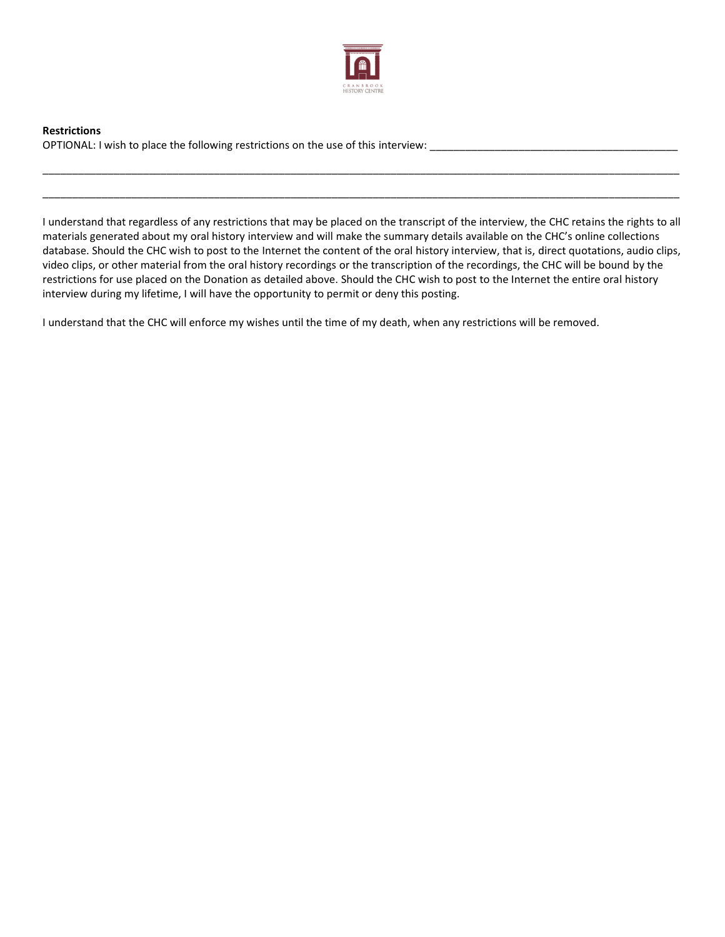

**Restrictions** OPTIONAL: I wish to place the following restrictions on the use of this interview: \_\_\_\_\_\_\_\_\_\_\_\_\_\_\_\_\_

I understand that regardless of any restrictions that may be placed on the transcript of the interview, the CHC retains the rights to all materials generated about my oral history interview and will make the summary details available on the CHC's online collections database. Should the CHC wish to post to the Internet the content of the oral history interview, that is, direct quotations, audio clips, video clips, or other material from the oral history recordings or the transcription of the recordings, the CHC will be bound by the restrictions for use placed on the Donation as detailed above. Should the CHC wish to post to the Internet the entire oral history interview during my lifetime, I will have the opportunity to permit or deny this posting.

\_\_\_\_\_\_\_\_\_\_\_\_\_\_\_\_\_\_\_\_\_\_\_\_\_\_\_\_\_\_\_\_\_\_\_\_\_\_\_\_\_\_\_\_\_\_\_\_\_\_\_\_\_\_\_\_\_\_\_\_\_\_\_\_\_\_\_\_\_\_\_\_\_\_\_\_\_\_\_\_\_\_\_\_\_\_\_\_\_\_\_\_\_\_\_\_\_\_\_\_\_\_\_\_\_\_\_\_

\_\_\_\_\_\_\_\_\_\_\_\_\_\_\_\_\_\_\_\_\_\_\_\_\_\_\_\_\_\_\_\_\_\_\_\_\_\_\_\_\_\_\_\_\_\_\_\_\_\_\_\_\_\_\_\_\_\_\_\_\_\_\_\_\_\_\_\_\_\_\_\_\_\_\_\_\_\_\_\_\_\_\_\_\_\_\_\_\_\_\_\_\_\_\_\_\_\_\_\_\_\_\_\_\_\_\_\_

I understand that the CHC will enforce my wishes until the time of my death, when any restrictions will be removed.